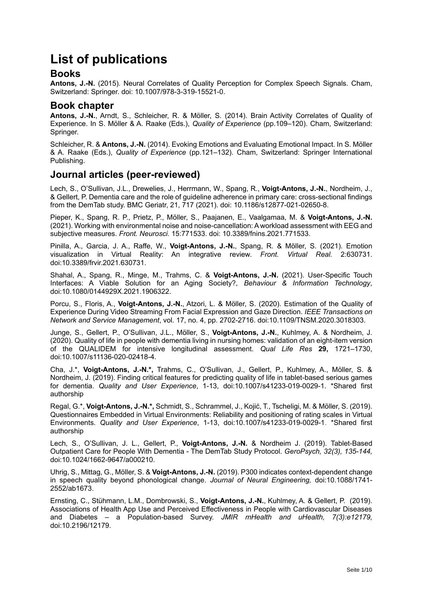# **List of publications**

#### **Books**

Antons, J.-N. (2015). Neural Correlates of Quality Perception for Complex Speech Signals. Cham. Switzerland: Springer. doi: 10.1007/978-3-319-15521-0.

## **Book chapter**

**Antons, J.-N.**, Arndt, S., Schleicher, R. & Möller, S. (2014). Brain Activity Correlates of Quality of Experience. In S. Möller & A. Raake (Eds.), *Quality of Experience* (pp.109–120). Cham, Switzerland: Springer.

Schleicher, R. & **Antons, J.-N.** (2014). Evoking Emotions and Evaluating Emotional Impact. In S. Möller & A. Raake (Eds.), *Quality of Experience* (pp.121–132). Cham, Switzerland: Springer International Publishing.

#### **Journal articles (peer-reviewed)**

Lech, S., O'Sullivan, J.L., Drewelies, J., Herrmann, W., Spang, R., **Voigt-Antons, J.-N.**, Nordheim, J., & Gellert, P. Dementia care and the role of guideline adherence in primary care: cross-sectional findings from the DemTab study. BMC Geriatr, 21, 717 (2021). doi: 10.1186/s12877-021-02650-8.

Pieper, K., Spang, R. P., Prietz, P., Möller, S., Paajanen, E., Vaalgamaa, M. & **Voigt-Antons, J.-N.** (2021). Working with environmental noise and noise-cancellation: A workload assessment with EEG and subjective measures. *Front. Neurosci.* 15:771533. doi: 10.3389/fnins.2021.771533.

Pinilla, A., Garcia, J. A., Raffe, W., **Voigt-Antons, J.-N.**, Spang, R. & Möller, S. (2021). Emotion visualization in Virtual Reality: An integrative review. *Front. Virtual Real.* 2:630731. doi:10.3389/frvir.2021.630731.

Shahal, A., Spang, R., Minge, M., Trahms, C. & **Voigt-Antons, J.-N.** (2021). User-Specific Touch Interfaces: A Viable Solution for an Aging Society?, *Behaviour & Information Technology*, doi:10.1080/0144929X.2021.1906322.

Porcu, S., Floris, A., **Voigt-Antons, J.-N.**, Atzori, L. & Möller, S. (2020). Estimation of the Quality of Experience During Video Streaming From Facial Expression and Gaze Direction. *IEEE Transactions on Network and Service Management*, vol. 17, no. 4, pp. 2702-2716. doi:10.1109/TNSM.2020.3018303.

Junge, S., Gellert, P., O'Sullivan, J.L., Möller, S., **Voigt-Antons, J.-N.**, Kuhlmey, A. & Nordheim, J*.* (2020). Quality of life in people with dementia living in nursing homes: validation of an eight-item version of the QUALIDEM for intensive longitudinal assessment. *Qual Life Res* **29,** 1721–1730, doi:10.1007/s11136-020-02418-4.

Cha, J.\*, **Voigt-Antons, J.-N.\*,** Trahms, C., O'Sullivan, J., Gellert, P., Kuhlmey, A., Möller, S. & Nordheim, J*.* (2019). Finding critical features for predicting quality of life in tablet-based serious games for dementia. *Quality and User Experience*, 1-13, doi:10.1007/s41233-019-0029-1. \*Shared first authorship

Regal, G.\*, **Voigt-Antons, J.-N.\*,** Schmidt, S., Schrammel, J., Kojić, T., Tscheligi, M. & Möller, S. (2019). Questionnaires Embedded in Virtual Environments: Reliability and positioning of rating scales in Virtual Environments. *Quality and User Experience*, 1-13, doi:10.1007/s41233-019-0029-1. \*Shared first authorship

Lech, S., O'Sullivan, J. L., Gellert, P., **Voigt-Antons, J.-N.** & Nordheim J. (2019). Tablet-Based Outpatient Care for People With Dementia - The DemTab Study Protocol. *GeroPsych, 32(3), 135-144,* doi:10.1024/1662-9647/a000210.

Uhrig, S., Mittag, G., Möller, S. & **Voigt-Antons, J.-N.** (2019). P300 indicates context-dependent change in speech quality beyond phonological change. *Journal of Neural Engineering,* doi:10.1088/1741- 2552/ab1673.

Ernsting, C., Stühmann, L.M., Dombrowski, S., **Voigt-Antons, J.-N.**, Kuhlmey, A. & Gellert, P.(2019). Associations of Health App Use and Perceived Effectiveness in People with Cardiovascular Diseases and Diabetes – a Population-based Survey. *JMIR mHealth and uHealth, 7(3):e12179,* doi:10.2196/12179.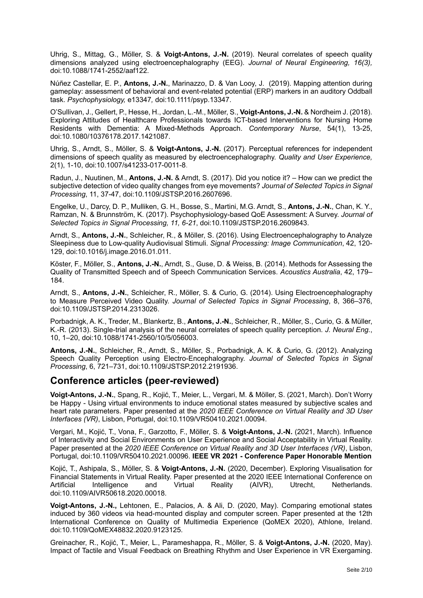Uhrig, S., Mittag, G., Möller, S. & **Voigt-Antons, J.-N.** (2019). Neural correlates of speech quality dimensions analyzed using electroencephalography (EEG). *Journal of Neural Engineering, 16(3),*  doi:10.1088/1741-2552/aaf122.

Núñez Castellar, E. P., **Antons, J.-N.**, Marinazzo, D. & Van Looy, J. (2019). Mapping attention during gameplay: assessment of behavioral and event-related potential (ERP) markers in an auditory Oddball task. *Psychophysiology,* e13347*,* doi:10.1111/psyp.13347.

O'Sullivan, J., Gellert, P., Hesse, H., Jordan, L.-M., Möller, S., **Voigt-Antons, J.-N.** & Nordheim J. (2018). Exploring Attitudes of Healthcare Professionals towards ICT-based Interventions for Nursing Home Residents with Dementia: A Mixed-Methods Approach. *Contemporary Nurse*, 54(1), 13-25, doi:10.1080/10376178.2017.1421087.

Uhrig, S., Arndt, S., Möller, S. & **Voigt-Antons, J.-N.** (2017). Perceptual references for independent dimensions of speech quality as measured by electroencephalography. *Quality and User Experience,* 2(1), 1-10, doi:10.1007/s41233-017-0011-8.

Radun, J., Nuutinen, M., **Antons, J.-N.** & Arndt, S. (2017). Did you notice it? – How can we predict the subjective detection of video quality changes from eye movements? *Journal of Selected Topics in Signal Processing*, 11, 37-47, doi:10.1109/JSTSP.2016.2607696.

Engelke, U., Darcy, D. P., Mulliken, G. H., Bosse, S., Martini, M.G. Arndt, S., **Antons, J.-N.**, Chan, K. Y., Ramzan, N. & Brunnström, K. (2017). Psychophysiology-based QoE Assessment: A Survey. *Journal of Selected Topics in Signal Processing, 11, 6-21*, doi:10.1109/JSTSP.2016.2609843.

Arndt, S., **Antons, J.-N.**, Schleicher, R., & Möller, S. (2016). Using Electroencephalography to Analyze Sleepiness due to Low-quality Audiovisual Stimuli. *Signal Processing: Image Communication*, 42, 120- 129, doi:10.1016/j.image.2016.01.011.

Köster, F., Möller, S., **Antons, J.-N.**, Arndt, S., Guse, D. & Weiss, B. (2014). Methods for Assessing the Quality of Transmitted Speech and of Speech Communication Services. *Acoustics Australia*, 42, 179– 184.

Arndt, S., **Antons, J.-N.**, Schleicher, R., Möller, S. & Curio, G. (2014). Using Electroencephalography to Measure Perceived Video Quality. *Journal of Selected Topics in Signal Processing*, 8, 366–376, doi:10.1109/JSTSP.2014.2313026.

Porbadnigk, A. K., Treder, M., Blankertz, B., **Antons, J.-N.**, Schleicher, R., Möller, S., Curio, G. & Müller, K.-R. (2013). Single-trial analysis of the neural correlates of speech quality perception. *J. Neural Eng.*, 10, 1–20, doi:10.1088/1741-2560/10/5/056003.

**Antons, J.-N.**, Schleicher, R., Arndt, S., Möller, S., Porbadnigk, A. K. & Curio, G. (2012). Analyzing Speech Quality Perception using Electro-Encephalography. *Journal of Selected Topics in Signal Processing*, 6, 721–731, doi:10.1109/JSTSP.2012.2191936.

#### **Conference articles (peer-reviewed)**

**Voigt-Antons, J.-N.**, Spang, R., Kojić, T., Meier, L., Vergari, M. & Möller, S. (2021, March). Don't Worry be Happy - Using virtual environments to induce emotional states measured by subjective scales and heart rate parameters. Paper presented at the *2020 IEEE Conference on Virtual Reality and 3D User Interfaces (VR)*, Lisbon, Portugal, doi:10.1109/VR50410.2021.00094.

Vergari, M., Kojić, T., Vona, F., Garzotto, F., Möller, S. & **Voigt-Antons, J.-N.** (2021, March). Influence of Interactivity and Social Environments on User Experience and Social Acceptability in Virtual Reality. Paper presented at the *2020 IEEE Conference on Virtual Reality and 3D User Interfaces (VR)*, Lisbon, Portugal, doi:10.1109/VR50410.2021.00096. **IEEE VR 2021 - Conference Paper Honorable Mention**

Kojić, T., Ashipala, S., Möller, S. & **Voigt-Antons, J.-N.** (2020, December). Exploring Visualisation for Financial Statements in Virtual Reality. Paper presented at the 2020 IEEE International Conference on Artificial Intelligence and Virtual Reality (AIVR), Utrecht, Netherlands. doi:10.1109/AIVR50618.2020.00018.

**Voigt-Antons, J.-N.,** Lehtonen, E., Palacios, A. & Ali, D. (2020, May). Comparing emotional states induced by 360 videos via head-mounted display and computer screen. Paper presented at the 12th International Conference on Quality of Multimedia Experience (QoMEX 2020), Athlone, Ireland. doi:10.1109/QoMEX48832.2020.9123125.

Greinacher, R., Kojić, T., Meier, L., Parameshappa, R., Möller, S. & **Voigt-Antons, J.-N.** (2020, May). Impact of Tactile and Visual Feedback on Breathing Rhythm and User Experience in VR Exergaming.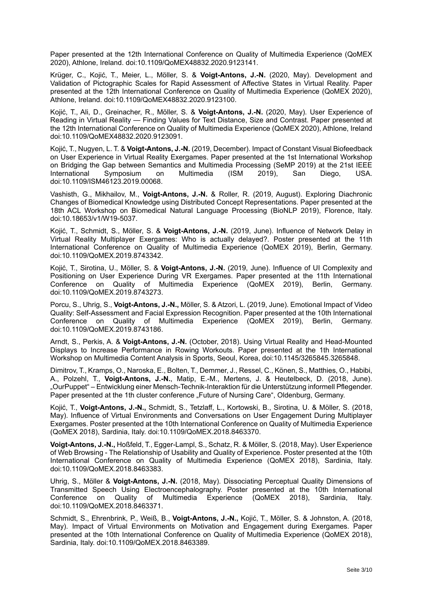Paper presented at the 12th International Conference on Quality of Multimedia Experience (QoMEX 2020), Athlone, Ireland. doi:10.1109/QoMEX48832.2020.9123141.

Krüger, C., Kojić, T., Meier, L., Möller, S. & **Voigt-Antons, J.-N.** (2020, May). Development and Validation of Pictographic Scales for Rapid Assessment of Affective States in Virtual Reality. Paper presented at the 12th International Conference on Quality of Multimedia Experience (QoMEX 2020), Athlone, Ireland. doi:10.1109/QoMEX48832.2020.9123100.

Kojić, T., Ali, D., Greinacher, R., Möller, S. & **Voigt-Antons, J.-N.** (2020, May). User Experience of Reading in Virtual Reality — Finding Values for Text Distance, Size and Contrast. Paper presented at the 12th International Conference on Quality of Multimedia Experience (QoMEX 2020), Athlone, Ireland doi:10.1109/QoMEX48832.2020.9123091.

Kojić, T., Nugyen, L. T. & **Voigt-Antons, J.-N.** (2019, December). Impact of Constant Visual Biofeedback on User Experience in Virtual Reality Exergames. Paper presented at the 1st International Workshop on Bridging the Gap between Semantics and Multimedia Processing (SeMP 2019) at the 21st IEEE International Symposium on Multimedia (ISM 2019), San Diego, USA. doi:10.1109/ISM46123.2019.00068.

Vashisth, G., Mikhailov, M., **Voigt-Antons, J.-N.** & Roller, R. (2019, August). Exploring Diachronic Changes of Biomedical Knowledge using Distributed Concept Representations. Paper presented at the 18th ACL Workshop on Biomedical Natural Language Processing (BioNLP 2019), Florence, Italy. doi:10.18653/v1/W19-5037.

Kojić, T., Schmidt, S., Möller, S. & **Voigt-Antons, J.-N.** (2019, June). Influence of Network Delay in Virtual Reality Multiplayer Exergames: Who is actually delayed?. Poster presented at the 11th International Conference on Quality of Multimedia Experience (QoMEX 2019), Berlin, Germany. doi:10.1109/QoMEX.2019.8743342.

Kojić, T., Sirotina, U., Möller, S. & **Voigt-Antons, J.-N.** (2019, June). Influence of UI Complexity and Positioning on User Experience During VR Exergames. Paper presented at the 11th International Conference on Quality of Multimedia Experience (QoMEX 2019), Berlin, Germany. doi:10.1109/QoMEX.2019.8743273.

Porcu, S., Uhrig, S., **Voigt-Antons, J.-N.,** Möller, S. & Atzori, L. (2019, June). Emotional Impact of Video Quality: Self-Assessment and Facial Expression Recognition. Paper presented at the 10th International Conference on Quality of Multimedia Experience (QoMEX 2019), Berlin, Germany. doi:10.1109/QoMEX.2019.8743186.

Arndt, S., Perkis, A. & **Voigt-Antons, J.-N.** (October, 2018). Using Virtual Reality and Head-Mounted Displays to Increase Performance in Rowing Workouts. Paper presented at the 1th International Workshop on Multimedia Content Analysis in Sports, Seoul, Korea, doi:10.1145/3265845.3265848.

Dimitrov, T., Kramps, O., Naroska, E., Bolten, T., Demmer, J., Ressel, C., Könen, S., Matthies, O., Habibi, A., Polzehl, T., **Voigt-Antons, J.-N.**, Matip, E.-M., Mertens, J. & Heutelbeck, D. (2018, June). "OurPuppet" – Entwicklung einer Mensch-Technik-Interaktion für die Unterstützung informell Pflegender. Paper presented at the 1th cluster conference "Future of Nursing Care", Oldenburg, Germany.

Kojić, T., **Voigt-Antons, J.-N.,** Schmidt, S., Tetzlaff, L., Kortowski, B., Sirotina, U. & Möller, S. (2018, May). Influence of Virtual Environments and Conversations on User Engagement During Multiplayer Exergames. Poster presented at the 10th International Conference on Quality of Multimedia Experience (QoMEX 2018), Sardinia, Italy. doi:10.1109/QoMEX.2018.8463370.

**Voigt-Antons, J.-N.,** Hoßfeld, T., Egger-Lampl, S., Schatz, R. & Möller, S. (2018, May). User Experience of Web Browsing - The Relationship of Usability and Quality of Experience. Poster presented at the 10th International Conference on Quality of Multimedia Experience (QoMEX 2018), Sardinia, Italy. doi:10.1109/QoMEX.2018.8463383.

Uhrig, S., Möller & **Voigt-Antons, J.-N.** (2018, May). Dissociating Perceptual Quality Dimensions of Transmitted Speech Using Electroencephalography. Poster presented at the 10th International Conference on Quality of Multimedia Experience (QoMEX 2018), Sardinia, Italy. doi:10.1109/QoMEX.2018.8463371.

Schmidt, S., Ehrenbrink, P., Weiß, B., **Voigt-Antons, J.-N.,** Kojić, T., Möller, S. & Johnston, A. (2018, May). Impact of Virtual Environments on Motivation and Engagement during Exergames. Paper presented at the 10th International Conference on Quality of Multimedia Experience (QoMEX 2018), Sardinia, Italy. doi:10.1109/QoMEX.2018.8463389.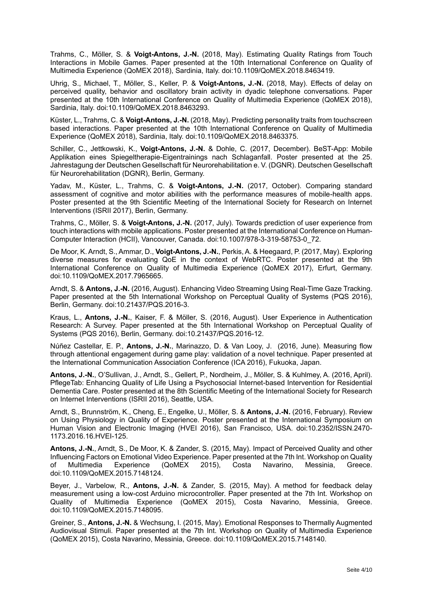Trahms, C., Möller, S. & **Voigt-Antons, J.-N.** (2018, May). Estimating Quality Ratings from Touch Interactions in Mobile Games. Paper presented at the 10th International Conference on Quality of Multimedia Experience (QoMEX 2018), Sardinia, Italy. doi:10.1109/QoMEX.2018.8463419.

Uhrig, S., Michael, T., Möller, S., Keller, P. & **Voigt-Antons, J.-N.** (2018, May). Effects of delay on perceived quality, behavior and oscillatory brain activity in dyadic telephone conversations. Paper presented at the 10th International Conference on Quality of Multimedia Experience (QoMEX 2018), Sardinia, Italy. doi:10.1109/QoMEX.2018.8463293.

Küster, L., Trahms, C. & **Voigt-Antons, J.-N.** (2018, May). Predicting personality traits from touchscreen based interactions. Paper presented at the 10th International Conference on Quality of Multimedia Experience (QoMEX 2018), Sardinia, Italy. doi:10.1109/QoMEX.2018.8463375.

Schiller, C., Jettkowski, K., **Voigt-Antons, J.-N.** & Dohle, C. (2017, December). BeST-App: Mobile Applikation eines Spiegeltherapie-Eigentrainings nach Schlaganfall. Poster presented at the 25. Jahrestagung der Deutschen Gesellschaft für Neurorehabilitation e. V. (DGNR). Deutschen Gesellschaft für Neurorehabilitation (DGNR), Berlin, Germany.

Yadav, M., Küster, L., Trahms, C. & **Voigt-Antons, J.-N.** (2017, October). Comparing standard assessment of cognitive and motor abilities with the performance measures of mobile-health apps. Poster presented at the 9th Scientific Meeting of the International Society for Research on Internet Interventions (ISRII 2017), Berlin, Germany.

Trahms, C., Möller, S. & **Voigt-Antons, J.-N.** (2017, July). Towards prediction of user experience from touch interactions with mobile applications. Poster presented at the International Conference on Human-Computer Interaction (HCII), Vancouver, Canada. doi:10.1007/978-3-319-58753-0\_72.

De Moor, K. Arndt, S., Ammar, D., **Voigt-Antons, J.-N.**, Perkis, A. & Heegaard, P. (2017, May). Exploring diverse measures for evaluating QoE in the context of WebRTC. Poster presented at the 9th International Conference on Quality of Multimedia Experience (QoMEX 2017), Erfurt, Germany. doi:10.1109/QoMEX.2017.7965665.

Arndt, S. & **Antons, J.-N.** (2016, August). Enhancing Video Streaming Using Real-Time Gaze Tracking. Paper presented at the 5th International Workshop on Perceptual Quality of Systems (PQS 2016), Berlin, Germany. doi:10.21437/PQS.2016-3.

Kraus, L., **Antons, J.-N.**, Kaiser, F. & Möller, S. (2016, August). User Experience in Authentication Research: A Survey. Paper presented at the 5th International Workshop on Perceptual Quality of Systems (PQS 2016), Berlin, Germany. doi:10.21437/PQS.2016-12.

Núñez Castellar, E. P., **Antons, J.-N.**, Marinazzo, D. & Van Looy, J. (2016, June). Measuring flow through attentional engagement during game play: validation of a novel technique. Paper presented at the International Communication Association Conference (ICA 2016), Fukuoka, Japan.

**Antons, J.-N.**, O'Sullivan, J., Arndt, S., Gellert, P., Nordheim, J., Möller, S. & Kuhlmey, A. (2016, April). PflegeTab: Enhancing Quality of Life Using a Psychosocial Internet-based Intervention for Residential Dementia Care. Poster presented at the 8th Scientific Meeting of the International Society for Research on Internet Interventions (ISRII 2016), Seattle, USA.

Arndt, S., Brunnström, K., Cheng, E., Engelke, U., Möller, S. & **Antons, J.-N.** (2016, February). Review on Using Physiology in Quality of Experience. Poster presented at the International Symposium on Human Vision and Electronic Imaging (HVEI 2016), San Francisco, USA. doi:10.2352/ISSN.2470- 1173.2016.16.HVEI-125.

**Antons, J.-N.**, Arndt, S., De Moor, K. & Zander, S. (2015, May). Impact of Perceived Quality and other Influencing Factors on Emotional Video Experience. Paper presented at the 7th Int. Workshop on Quality of Multimedia Experience (QoMEX 2015), Costa Navarino, Messinia, Greece. doi:10.1109/QoMEX.2015.7148124.

Beyer, J., Varbelow, R., **Antons, J.-N.** & Zander, S. (2015, May). A method for feedback delay measurement using a low-cost Arduino microcontroller. Paper presented at the 7th Int. Workshop on Quality of Multimedia Experience (QoMEX 2015), Costa Navarino, Messinia, Greece. doi:10.1109/QoMEX.2015.7148095.

Greiner, S., **Antons, J.-N.** & Wechsung, I. (2015, May). Emotional Responses to Thermally Augmented Audiovisual Stimuli. Paper presented at the 7th Int. Workshop on Quality of Multimedia Experience (QoMEX 2015), Costa Navarino, Messinia, Greece. doi:10.1109/QoMEX.2015.7148140.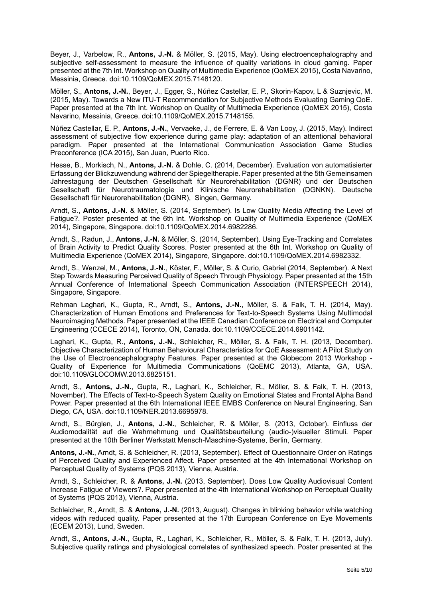Beyer, J., Varbelow, R., **Antons, J.-N.** & Möller, S. (2015, May). Using electroencephalography and subjective self-assessment to measure the influence of quality variations in cloud gaming. Paper presented at the 7th Int. Workshop on Quality of Multimedia Experience (QoMEX 2015), Costa Navarino, Messinia, Greece. doi:10.1109/QoMEX.2015.7148120.

Möller, S., **Antons, J.-N.**, Beyer, J., Egger, S., Núñez Castellar, E. P., Skorin-Kapov, L & Suznjevic, M. (2015, May). Towards a New ITU-T Recommendation for Subjective Methods Evaluating Gaming QoE. Paper presented at the 7th Int. Workshop on Quality of Multimedia Experience (QoMEX 2015), Costa Navarino, Messinia, Greece. doi:10.1109/QoMEX.2015.7148155.

Núñez Castellar, E. P., **Antons, J.-N.**, Vervaeke, J., de Ferrere, E. & Van Looy, J. (2015, May). Indirect assessment of subjective flow experience during game play: adaptation of an attentional behavioral paradigm. Paper presented at the International Communication Association Game Studies Preconference (ICA 2015), San Juan, Puerto Rico.

Hesse, B., Morkisch, N., **Antons, J.-N.** & Dohle, C. (2014, December). Evaluation von automatisierter Erfassung der Blickzuwendung während der Spiegeltherapie. Paper presented at the 5th Gemeinsamen Jahrestagung der Deutschen Gesellschaft für Neurorehabilitation (DGNR) und der Deutschen Gesellschaft für Neurotraumatologie und Klinische Neurorehabilitation (DGNKN). Deutsche Gesellschaft für Neurorehabilitation (DGNR), Singen, Germany.

Arndt, S., **Antons, J.-N.** & Möller, S. (2014, September). Is Low Quality Media Affecting the Level of Fatigue?. Poster presented at the 6th Int. Workshop on Quality of Multimedia Experience (QoMEX 2014), Singapore, Singapore. doi:10.1109/QoMEX.2014.6982286.

Arndt, S., Radun, J., **Antons, J.-N.** & Möller, S. (2014, September). Using Eye-Tracking and Correlates of Brain Activity to Predict Quality Scores. Poster presented at the 6th Int. Workshop on Quality of Multimedia Experience (QoMEX 2014), Singapore, Singapore. doi:10.1109/QoMEX.2014.6982332.

Arndt, S., Wenzel, M., **Antons, J.-N.**, Köster, F., Möller, S. & Curio, Gabriel (2014, September). A Next Step Towards Measuring Perceived Quality of Speech Through Physiology. Paper presented at the 15th Annual Conference of International Speech Communication Association (INTERSPEECH 2014), Singapore, Singapore.

Rehman Laghari, K., Gupta, R., Arndt, S., **Antons, J.-N.**, Möller, S. & Falk, T. H. (2014, May). Characterization of Human Emotions and Preferences for Text-to-Speech Systems Using Multimodal Neuroimaging Methods. Paper presented at the IEEE Canadian Conference on Electrical and Computer Engineering (CCECE 2014), Toronto, ON, Canada. doi:10.1109/CCECE.2014.6901142.

Laghari, K., Gupta, R., **Antons, J.-N.**, Schleicher, R., Möller, S. & Falk, T. H. (2013, December). Objective Characterization of Human Behavioural Characteristics for QoE Assessment: A Pilot Study on the Use of Electroencephalography Features. Paper presented at the Globecom 2013 Workshop - Quality of Experience for Multimedia Communications (QoEMC 2013), Atlanta, GA, USA. doi:10.1109/GLOCOMW.2013.6825151.

Arndt, S., **Antons, J.-N.**, Gupta, R., Laghari, K., Schleicher, R., Möller, S. & Falk, T. H. (2013, November). The Effects of Text-to-Speech System Quality on Emotional States and Frontal Alpha Band Power. Paper presented at the 6th International IEEE EMBS Conference on Neural Engineering, San Diego, CA, USA. doi:10.1109/NER.2013.6695978.

Arndt, S., Bürglen, J., **Antons, J.-N.**, Schleicher, R. & Möller, S. (2013, October). Einfluss der Audiomodalität auf die Wahrnehmung und Qualitätsbeurteilung (audio-)visueller Stimuli. Paper presented at the 10th Berliner Werkstatt Mensch-Maschine-Systeme, Berlin, Germany.

**Antons, J.-N.**, Arndt, S. & Schleicher, R. (2013, September). Effect of Questionnaire Order on Ratings of Perceived Quality and Experienced Affect. Paper presented at the 4th International Workshop on Perceptual Quality of Systems (PQS 2013), Vienna, Austria.

Arndt, S., Schleicher, R. & **Antons, J.-N.** (2013, September). Does Low Quality Audiovisual Content Increase Fatigue of Viewers?. Paper presented at the 4th International Workshop on Perceptual Quality of Systems (PQS 2013), Vienna, Austria.

Schleicher, R., Arndt, S. & **Antons, J.-N.** (2013, August). Changes in blinking behavior while watching videos with reduced quality. Paper presented at the 17th European Conference on Eye Movements (ECEM 2013), Lund, Sweden.

Arndt, S., **Antons, J.-N.**, Gupta, R., Laghari, K., Schleicher, R., Möller, S. & Falk, T. H. (2013, July). Subjective quality ratings and physiological correlates of synthesized speech. Poster presented at the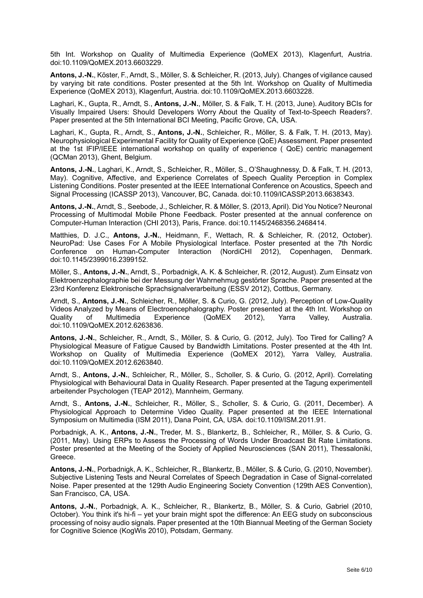5th Int. Workshop on Quality of Multimedia Experience (QoMEX 2013), Klagenfurt, Austria. doi:10.1109/QoMEX.2013.6603229.

**Antons, J.-N.**, Köster, F., Arndt, S., Möller, S. & Schleicher, R. (2013, July). Changes of vigilance caused by varying bit rate conditions. Poster presented at the 5th Int. Workshop on Quality of Multimedia Experience (QoMEX 2013), Klagenfurt, Austria. doi:10.1109/QoMEX.2013.6603228.

Laghari, K., Gupta, R., Arndt, S., **Antons, J.-N.**, Möller, S. & Falk, T. H. (2013, June). Auditory BCIs for Visually Impaired Users: Should Developers Worry About the Quality of Text-to-Speech Readers?. Paper presented at the 5th International BCI Meeting, Pacific Grove, CA, USA.

Laghari, K., Gupta, R., Arndt, S., **Antons, J.-N.**, Schleicher, R., Möller, S. & Falk, T. H. (2013, May). Neurophysiological Experimental Facility for Quality of Experience (QoE) Assessment. Paper presented at the 1st IFIP/IEEE international workshop on quality of experience ( QoE) centric management (QCMan 2013), Ghent, Belgium.

**Antons, J.-N.**, Laghari, K., Arndt, S., Schleicher, R., Möller, S., O'Shaughnessy, D. & Falk, T. H. (2013, May). Cognitive, Affective, and Experience Correlates of Speech Quality Perception in Complex Listening Conditions. Poster presented at the IEEE International Conference on Acoustics, Speech and Signal Processing (ICASSP 2013), Vancouver, BC, Canada. doi:10.1109/ICASSP.2013.6638343.

**Antons, J.-N.**, Arndt, S., Seebode, J., Schleicher, R. & Möller, S. (2013, April). Did You Notice? Neuronal Processing of Multimodal Mobile Phone Feedback. Poster presented at the annual conference on Computer-Human Interaction (CHI 2013), Paris, France. doi:10.1145/2468356.2468414.

Matthies, D. J.C., **Antons, J.-N.**, Heidmann, F., Wettach, R. & Schleicher, R. (2012, October). NeuroPad: Use Cases For A Mobile Physiological Interface. Poster presented at the 7th Nordic Conference on Human-Computer Interaction (NordiCHI 2012), Copenhagen, Denmark. doi:10.1145/2399016.2399152.

Möller, S., **Antons, J.-N.**, Arndt, S., Porbadnigk, A. K. & Schleicher, R. (2012, August). Zum Einsatz von Elektroenzephalographie bei der Messung der Wahrnehmug gestörter Sprache. Paper presented at the 23rd Konferenz Elektronische Sprachsignalverarbeitung (ESSV 2012), Cottbus, Germany.

Arndt, S., **Antons, J.-N.**, Schleicher, R., Möller, S. & Curio, G. (2012, July). Perception of Low-Quality Videos Analyzed by Means of Electroencephalography. Poster presented at the 4th Int. Workshop on Quality of Multimedia Experience (QoMEX 2012), Yarra Valley, Australia. doi:10.1109/QoMEX.2012.6263836.

**Antons, J.-N.**, Schleicher, R., Arndt, S., Möller, S. & Curio, G. (2012, July). Too Tired for Calling? A Physiological Measure of Fatigue Caused by Bandwidth Limitations. Poster presented at the 4th Int. Workshop on Quality of Multimedia Experience (QoMEX 2012), Yarra Valley, Australia. doi:10.1109/QoMEX.2012.6263840.

Arndt, S., **Antons, J.-N.**, Schleicher, R., Möller, S., Scholler, S. & Curio, G. (2012, April). Correlating Physiological with Behavioural Data in Quality Research. Paper presented at the Tagung experimentell arbeitender Psychologen (TEAP 2012), Mannheim, Germany.

Arndt, S., **Antons, J.-N.**, Schleicher, R., Möller, S., Scholler, S. & Curio, G. (2011, December). A Physiological Approach to Determine Video Quality. Paper presented at the IEEE International Symposium on Multimedia (ISM 2011), Dana Point, CA, USA. doi:10.1109/ISM.2011.91.

Porbadnigk, A. K., **Antons, J.-N.**, Treder, M. S., Blankertz, B., Schleicher, R., Möller, S. & Curio, G. (2011, May). Using ERPs to Assess the Processing of Words Under Broadcast Bit Rate Limitations. Poster presented at the Meeting of the Society of Applied Neurosciences (SAN 2011), Thessaloniki, Greece.

**Antons, J.-N.**, Porbadnigk, A. K., Schleicher, R., Blankertz, B., Möller, S. & Curio, G. (2010, November). Subjective Listening Tests and Neural Correlates of Speech Degradation in Case of Signal-correlated Noise. Paper presented at the 129th Audio Engineering Society Convention (129th AES Convention), San Francisco, CA, USA.

**Antons, J.-N.**, Porbadnigk, A. K., Schleicher, R., Blankertz, B., Möller, S. & Curio, Gabriel (2010, October). You think it's hi-fi – yet your brain might spot the difference: An EEG study on subconscious processing of noisy audio signals. Paper presented at the 10th Biannual Meeting of the German Society for Cognitive Science (KogWis 2010), Potsdam, Germany.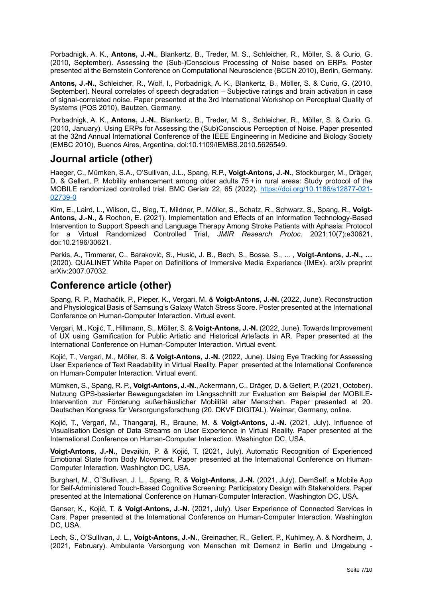Porbadnigk, A. K., **Antons, J.-N.**, Blankertz, B., Treder, M. S., Schleicher, R., Möller, S. & Curio, G. (2010, September). Assessing the (Sub-)Conscious Processing of Noise based on ERPs. Poster presented at the Bernstein Conference on Computational Neuroscience (BCCN 2010), Berlin, Germany.

**Antons, J.-N.**, Schleicher, R., Wolf, I., Porbadnigk, A. K., Blankertz, B., Möller, S. & Curio, G. (2010, September). Neural correlates of speech degradation – Subjective ratings and brain activation in case of signal-correlated noise. Paper presented at the 3rd International Workshop on Perceptual Quality of Systems (PQS 2010), Bautzen, Germany.

Porbadnigk, A. K., **Antons, J.-N.**, Blankertz, B., Treder, M. S., Schleicher, R., Möller, S. & Curio, G. (2010, January). Using ERPs for Assessing the (Sub)Conscious Perception of Noise. Paper presented at the 32nd Annual International Conference of the IEEE Engineering in Medicine and Biology Society (EMBC 2010), Buenos Aires, Argentina. doi:10.1109/IEMBS.2010.5626549.

## **Journal article (other)**

Haeger, C., Mümken, S.A., O'Sullivan, J.L., Spang, R.P., **Voigt-Antons, J.-N.**, Stockburger, M., Dräger, D. & Gellert, P. Mobility enhancement among older adults 75 + in rural areas: Study protocol of the MOBILE randomized controlled trial. BMC Geriatr 22, 65 (2022). [https://doi.org/10.1186/s12877-021-](https://doi.org/10.1186/s12877-021-02739-0) [02739-0](https://doi.org/10.1186/s12877-021-02739-0)

Kim, E., Laird, L., Wilson, C., Bieg, T., Mildner, P., Möller, S., Schatz, R., Schwarz, S., Spang, R., **Voigt-Antons, J.-N.**, & Rochon, E. (2021). Implementation and Effects of an Information Technology-Based Intervention to Support Speech and Language Therapy Among Stroke Patients with Aphasia: Protocol for a Virtual Randomized Controlled Trial, *JMIR Research Protoc*. 2021;10(7):e30621, doi:10.2196/30621.

Perkis, A., Timmerer, C., Baraković, S., Husić, J. B., Bech, S., Bosse, S., ... , **Voigt-Antons, J.-N., …**  (2020). QUALINET White Paper on Definitions of Immersive Media Experience (IMEx). arXiv preprint arXiv:2007.07032.

## **Conference article (other)**

Spang, R. P., Machačík, P., Pieper, K., Vergari, M. & **Voigt-Antons, J.-N.** (2022, June). Reconstruction and Physiological Basis of Samsung's Galaxy Watch Stress Score. Poster presented at the International Conference on Human-Computer Interaction. Virtual event.

Vergari, M., Kojić, T., Hillmann, S., Möller, S. & **Voigt-Antons, J.-N.** (2022, June). Towards Improvement of UX using Gamification for Public Artistic and Historical Artefacts in AR. Paper presented at the International Conference on Human-Computer Interaction. Virtual event.

Kojić, T., Vergari, M., Möller, S. & **Voigt-Antons, J.-N.** (2022, June). Using Eye Tracking for Assessing User Experience of Text Readability in Virtual Reality. Paper presented at the International Conference on Human-Computer Interaction. Virtual event.

Mümken, S., Spang, R. P., **Voigt-Antons, J.-N.**, Ackermann, C., Dräger, D. & Gellert, P. (2021, October). Nutzung GPS-basierter Bewegungsdaten im Längsschnitt zur Evaluation am Beispiel der MOBILE-Intervention zur Förderung außerhäuslicher Mobilität alter Menschen. Paper presented at 20. Deutschen Kongress für Versorgungsforschung (20. DKVF DIGITAL). Weimar, Germany, online.

Kojić, T., Vergari, M., Thangaraj, R., Braune, M. & **Voigt-Antons, J.-N.** (2021, July). Influence of Visualisation Design of Data Streams on User Experience in Virtual Reality. Paper presented at the International Conference on Human-Computer Interaction. Washington DC, USA.

**Voigt-Antons, J.-N.**, Devaikin, P. & Kojić, T. (2021, July). Automatic Recognition of Experienced Emotional State from Body Movement. Paper presented at the International Conference on Human-Computer Interaction. Washington DC, USA.

Burghart, M., O´Sullivan, J. L., Spang, R. & **Voigt-Antons, J.-N.** (2021, July). DemSelf, a Mobile App for Self-Administered Touch-Based Cognitive Screening: Participatory Design with Stakeholders. Paper presented at the International Conference on Human-Computer Interaction. Washington DC, USA.

Ganser, K., Kojić, T. & **Voigt-Antons, J.-N.** (2021, July). User Experience of Connected Services in Cars. Paper presented at the International Conference on Human-Computer Interaction. Washington DC, USA.

Lech, S., O'Sullivan, J. L., **Voigt-Antons, J.-N.**, Greinacher, R., Gellert, P., Kuhlmey, A. & Nordheim, J. (2021, February). Ambulante Versorgung von Menschen mit Demenz in Berlin und Umgebung -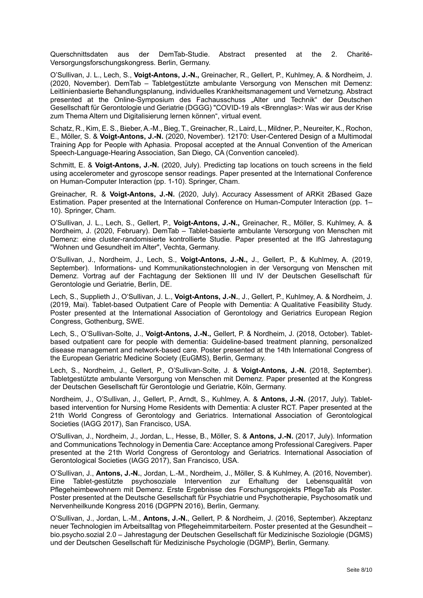Querschnittsdaten aus der DemTab-Studie. Abstract presented at the 2. Charité-Versorgungsforschungskongress. Berlin, Germany.

O'Sullivan, J. L., Lech, S., **Voigt-Antons, J.-N.,** Greinacher, R., Gellert, P., Kuhlmey, A. & Nordheim, J. (2020, November). DemTab – Tabletgestützte ambulante Versorgung von Menschen mit Demenz: Leitlinienbasierte Behandlungsplanung, individuelles Krankheitsmanagement und Vernetzung. Abstract presented at the Online-Symposium des Fachausschuss "Alter und Technik" der Deutschen Gesellschaft für Gerontologie und Geriatrie (DGGG) "COVID-19 als <Brennglas>: Was wir aus der Krise zum Thema Altern und Digitalisierung lernen können", virtual event.

Schatz, R., Kim, E. S., Bieber, A.-M., Bieg, T., Greinacher, R., Laird, L., Mildner, P., Neureiter, K., Rochon, E., Möller, S. & **Voigt-Antons, J.-N.** (2020, November). 12170: User-Centered Design of a Multimodal Training App for People with Aphasia. Proposal accepted at the Annual Convention of the American Speech-Language-Hearing Association, San Diego, CA (Convention canceled).

Schmitt, E. & **Voigt-Antons, J.-N.** (2020, July). Predicting tap locations on touch screens in the field using accelerometer and gyroscope sensor readings. Paper presented at the International Conference on Human-Computer Interaction (pp. 1-10). Springer, Cham.

Greinacher, R. & **Voigt-Antons, J.-N.** (2020, July). Accuracy Assessment of ARKit 2Based Gaze Estimation. Paper presented at the International Conference on Human-Computer Interaction (pp. 1– 10). Springer, Cham.

O'Sullivan, J. L., Lech, S., Gellert, P., **Voigt-Antons, J.-N.,** Greinacher, R., Möller, S. Kuhlmey, A. & Nordheim, J. (2020, February). DemTab – Tablet-basierte ambulante Versorgung von Menschen mit Demenz: eine cluster-randomisierte kontrollierte Studie. Paper presented at the IfG Jahrestagung "Wohnen und Gesundheit im Alter", Vechta, Germany.

O'Sullivan, J., Nordheim, J., Lech, S., **Voigt-Antons, J.-N.,** J., Gellert, P., & Kuhlmey, A. (2019, September). Informations- und Kommunikationstechnologien in der Versorgung von Menschen mit Demenz. Vortrag auf der Fachtagung der Sektionen III und IV der Deutschen Gesellschaft für Gerontologie und Geriatrie, Berlin, DE.

Lech, S., Supplieth J., O'Sullivan, J. L., **Voigt-Antons, J.-N.**, J., Gellert, P., Kuhlmey, A. & Nordheim, J. (2019, Mai). Tablet-based Outpatient Care of People with Dementia: A Qualitative Feasibility Study. Poster presented at the International Association of Gerontology and Geriatrics European Region Congress, Gothenburg, SWE.

Lech, S., O'Sullivan-Solte, J., **Voigt-Antons, J.-N.,** Gellert, P. & Nordheim, J. (2018, October). Tabletbased outpatient care for people with dementia: Guideline-based treatment planning, personalized disease management and network-based care. Poster presented at the 14th International Congress of the European Geriatric Medicine Society (EuGMS), Berlin, Germany.

Lech, S., Nordheim, J., Gellert, P., O'Sullivan-Solte, J. & **Voigt-Antons, J.-N.** (2018, September). Tabletgestützte ambulante Versorgung von Menschen mit Demenz. Paper presented at the Kongress der Deutschen Gesellschaft für Gerontologie und Geriatrie, Köln, Germany.

Nordheim, J., O'Sullivan, J., Gellert, P., Arndt, S., Kuhlmey, A. & **Antons, J.-N.** (2017, July). Tabletbased intervention for Nursing Home Residents with Dementia: A cluster RCT. Paper presented at the 21th World Congress of Gerontology and Geriatrics. International Association of Gerontological Societies (IAGG 2017), San Francisco, USA.

O'Sullivan, J., Nordheim, J., Jordan, L., Hesse, B., Möller, S. & **Antons, J.-N.** (2017, July). [Information](http://www.qu.tu-berlin.de/menue/team/senior_researchers/antons_jan_niklas/?tx_sibibtex_pi1%5Bcontentelement%5D=tt_content%3A234339&tx_sibibtex_pi1%5BshowUid%5D=1292923&cHash=51e3c754fea55a5471b0e073b1be3aec)  [and Communications Technology in Dementia Care: Acceptance among Professional Caregivers.](http://www.qu.tu-berlin.de/menue/team/senior_researchers/antons_jan_niklas/?tx_sibibtex_pi1%5Bcontentelement%5D=tt_content%3A234339&tx_sibibtex_pi1%5BshowUid%5D=1292923&cHash=51e3c754fea55a5471b0e073b1be3aec) Paper presented at the 21th World Congress of Gerontology and Geriatrics. International Association of Gerontological Societies (IAGG 2017), San Francisco, USA.

O'Sullivan, J., **Antons, J.-N.**, Jordan, L.-M., Nordheim, J., Möller, S. & Kuhlmey, A. (2016, November). Eine Tablet-gestützte psychosoziale Intervention zur Erhaltung der Lebensqualität von Pflegeheimbewohnern mit Demenz. Erste Ergebnisse des Forschungsprojekts PflegeTab als Poster. Poster presented at the Deutsche Gesellschaft für Psychiatrie und Psychotherapie, Psychosomatik und Nervenheilkunde Kongress 2016 (DGPPN 2016), Berlin, Germany.

O'Sullivan, J., Jordan, L.-M., **Antons, J.-N.**, Gellert, P. & Nordheim, J. (2016, September). Akzeptanz neuer Technologien im Arbeitsalltag von Pflegeheimmitarbeitern. Poster presented at the Gesundheit – bio.psycho.sozial 2.0 – Jahrestagung der Deutschen Gesellschaft für Medizinische Soziologie (DGMS) und der Deutschen Gesellschaft für Medizinische Psychologie (DGMP), Berlin, Germany.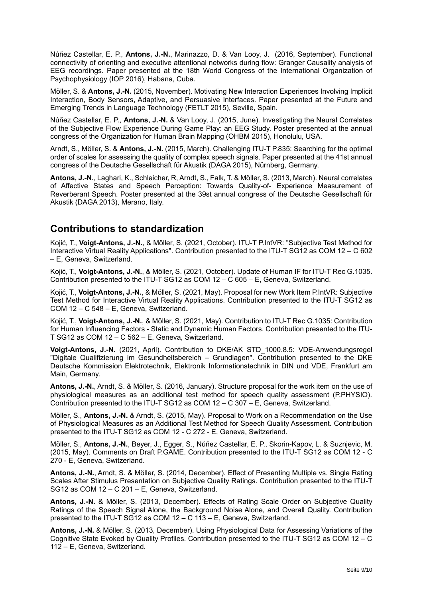Núñez Castellar, E. P., **Antons, J.-N.**, Marinazzo, D. & Van Looy, J. (2016, September). Functional connectivity of orienting and executive attentional networks during flow: Granger Causality analysis of EEG recordings. Paper presented at the 18th World Congress of the International Organization of Psychophysiology (IOP 2016), Habana, Cuba.

Möller, S. & **Antons, J.-N.** (2015, November). Motivating New Interaction Experiences Involving Implicit Interaction, Body Sensors, Adaptive, and Persuasive Interfaces. Paper presented at the Future and Emerging Trends in Language Technology (FETLT 2015), Seville, Spain.

Núñez Castellar, E. P., **Antons, J.-N.** & Van Looy, J. (2015, June). Investigating the Neural Correlates of the Subjective Flow Experience During Game Play: an EEG Study. Poster presented at the annual congress of the Organization for Human Brain Mapping (OHBM 2015), Honolulu, USA.

Arndt, S., Möller, S. & **Antons, J.-N.** (2015, March). Challenging ITU-T P.835: Searching for the optimal order of scales for assessing the quality of complex speech signals. Paper presented at the 41st annual congress of the Deutsche Gesellschaft für Akustik (DAGA 2015), Nürnberg, Germany.

**Antons, J.-N.**, Laghari, K., Schleicher, R, Arndt, S., Falk, T. & Möller, S. (2013, March). Neural correlates of Affective States and Speech Perception: Towards Quality-of- Experience Measurement of Reverberant Speech. Poster presented at the 39st annual congress of the Deutsche Gesellschaft für Akustik (DAGA 2013), Merano, Italy.

## **Contributions to standardization**

Kojić, T., **Voigt-Antons, J.-N.**, & Möller, S. (2021, October). ITU-T P.IntVR: "Subjective Test Method for Interactive Virtual Reality Applications". Contribution presented to the ITU-T SG12 as COM 12 – C 602 – E, Geneva, Switzerland.

Kojić, T., **Voigt-Antons, J.-N.**, & Möller, S. (2021, October). Update of Human IF for ITU-T Rec G.1035. Contribution presented to the ITU-T SG12 as COM 12 – C 605 – E, Geneva, Switzerland.

Kojić, T., **Voigt-Antons, J.-N.**, & Möller, S. (2021, May). Proposal for new Work Item P.IntVR: Subjective Test Method for Interactive Virtual Reality Applications. Contribution presented to the ITU-T SG12 as COM 12 – C 548 – E, Geneva, Switzerland.

Kojić, T., **Voigt-Antons, J.-N.**, & Möller, S. (2021, May). Contribution to ITU-T Rec G.1035: Contribution for Human Influencing Factors - Static and Dynamic Human Factors. Contribution presented to the ITU-T SG12 as COM 12 – C 562 – E, Geneva, Switzerland.

Voigt-Antons, J.-N. (2021, April). Contribution to DKE/AK STD 1000.8.5: VDE-Anwendungsregel "Digitale Qualifizierung im Gesundheitsbereich – Grundlagen". Contribution presented to the DKE Deutsche Kommission Elektrotechnik, Elektronik Informationstechnik in DIN und VDE, Frankfurt am Main, Germany.

**Antons, J.-N.**, Arndt, S. & Möller, S. (2016, January). Structure proposal for the work item on the use of physiological measures as an additional test method for speech quality assessment (P.PHYSIO). Contribution presented to the ITU-T SG12 as COM 12 – C 307 – E, Geneva, Switzerland.

Möller, S., **Antons, J.-N.** & Arndt, S. (2015, May). Proposal to Work on a Recommendation on the Use of Physiological Measures as an Additional Test Method for Speech Quality Assessment. Contribution presented to the ITU-T SG12 as COM 12 - C 272 - E, Geneva, Switzerland.

Möller, S., **Antons, J.-N.**, Beyer, J., Egger, S., Núñez Castellar, E. P., Skorin-Kapov, L. & Suznjevic, M. (2015, May). Comments on Draft P.GAME. Contribution presented to the ITU-T SG12 as COM 12 - C 270 - E, Geneva, Switzerland.

**Antons, J.-N.**, Arndt, S. & Möller, S. (2014, December). Effect of Presenting Multiple vs. Single Rating Scales After Stimulus Presentation on Subjective Quality Ratings. Contribution presented to the ITU-T SG12 as COM 12 – C 201 – E, Geneva, Switzerland.

**Antons, J.-N.** & Möller, S. (2013, December). Effects of Rating Scale Order on Subjective Quality Ratings of the Speech Signal Alone, the Background Noise Alone, and Overall Quality. Contribution presented to the ITU-T SG12 as COM 12 – C 113 – E, Geneva, Switzerland.

**Antons, J.-N.** & Möller, S. (2013, December). Using Physiological Data for Assessing Variations of the Cognitive State Evoked by Quality Profiles. Contribution presented to the ITU-T SG12 as COM 12 – C 112 – E, Geneva, Switzerland.